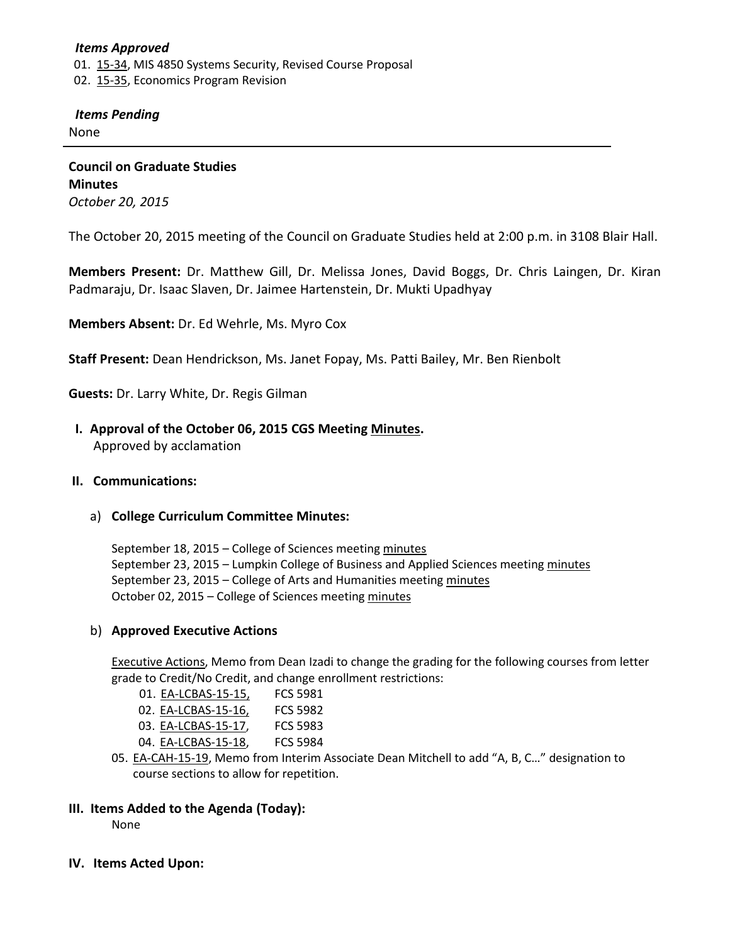### *Items Approved* 01. [15-34,](http://castle.eiu.edu/~eiucgs/currentagendaitems/agenda15-34.pdf) MIS 4850 Systems Security, Revised Course Proposal 02. [15-35,](http://castle.eiu.edu/~eiucgs/currentagendaitems/agenda15-35.pdf) Economics Program Revision

### *Items Pending*

None

**Council on Graduate Studies Minutes** *October 20, 2015*

The October 20, 2015 meeting of the Council on Graduate Studies held at 2:00 p.m. in 3108 Blair Hall.

**Members Present:** Dr. Matthew Gill, Dr. Melissa Jones, David Boggs, Dr. Chris Laingen, Dr. Kiran Padmaraju, Dr. Isaac Slaven, Dr. Jaimee Hartenstein, Dr. Mukti Upadhyay

**Members Absent:** Dr. Ed Wehrle, Ms. Myro Cox

**Staff Present:** Dean Hendrickson, Ms. Janet Fopay, Ms. Patti Bailey, Mr. Ben Rienbolt

**Guests:** Dr. Larry White, Dr. Regis Gilman

 **I. Approval of the October 06, 2015 CGS Meeting [Minutes.](http://castle.eiu.edu/eiucgs/currentminutes/Minutes10-06-15.pdf)** Approved by acclamation

#### **II. Communications:**

a) **College Curriculum Committee Minutes:**

September 18, 2015 – College of Sciences meeting [minutes](http://castle.eiu.edu/~eiucgs/currentagendaitems/COSMin09-18-15.pdf) September 23, 2015 – Lumpkin College of Business and Applied Sciences meeting [minutes](http://castle.eiu.edu/~eiucgs/currentagendaitems/LCBASMin09-23-15.pdf) September 23, 2015 – College of Arts and Humanities meetin[g minutes](http://castle.eiu.edu/~eiucgs/currentagendaitems/CAHMin09-23-15.pdf) October 02, 2015 – College of Sciences meetin[g minutes](http://castle.eiu.edu/~eiucgs/currentagendaitems/COSMin10-02-15.pdf)

#### b) **Approved Executive Actions**

[Executive Actions,](http://castle.eiu.edu/~eiucgs/exec-actions/EA_10-20-15.pdf) Memo from Dean Izadi to change the grading for the following courses from letter grade to Credit/No Credit, and change enrollment restrictions:

| 01. EA-LCBAS-15-15, | <b>FCS 5981</b> |
|---------------------|-----------------|
| 02. EA-LCBAS-15-16, | <b>FCS 5982</b> |
| 03. EA-LCBAS-15-17, | <b>FCS 5983</b> |
| 04. EA-LCBAS-15-18, | <b>FCS 5984</b> |
|                     |                 |

05. [EA-CAH-15-19,](http://castle.eiu.edu/~eiucgs/exec-actions/EA-CAH-15-19.pdf) Memo from Interim Associate Dean Mitchell to add "A, B, C..." designation to course sections to allow for repetition.

#### **III. Items Added to the Agenda (Today):**

None

**IV. Items Acted Upon:**